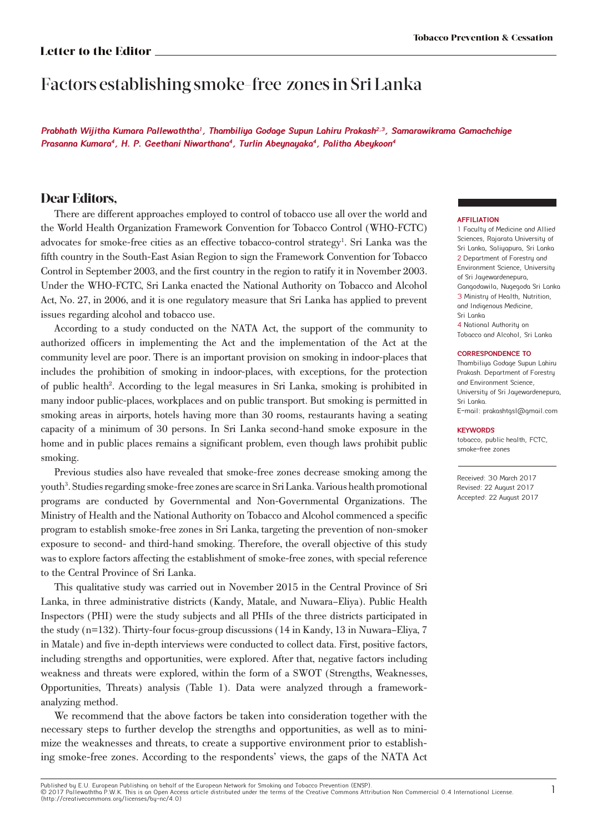### **Letter to the Editor**

# Factors establishing smoke-free zones in Sri Lanka

**Prabhath Wijitha Kumara Pallewaththa<sup>1</sup>, Thambiliya Godage Supun Lahiru Prakash2,3, Samarawikrama Gamachchige Prasanna Kumara<sup>4</sup>, H. P. Geethani Niwarthana<sup>4</sup>, Turlin Abeynayaka<sup>4</sup>, Palitha Abeykoon<sup>4</sup>**

## **Dear Editors,**

There are different approaches employed to control of tobacco use all over the world and the World Health Organization Framework Convention for Tobacco Control (WHO-FCTC) advocates for smoke-free cities as an effective tobacco-control strategy<sup>1</sup>. Sri Lanka was the fifth country in the South-East Asian Region to sign the Framework Convention for Tobacco Control in September 2003, and the first country in the region to ratify it in November 2003. Under the WHO-FCTC, Sri Lanka enacted the National Authority on Tobacco and Alcohol Act, No. 27, in 2006, and it is one regulatory measure that Sri Lanka has applied to prevent issues regarding alcohol and tobacco use.

According to a study conducted on the NATA Act, the support of the community to authorized officers in implementing the Act and the implementation of the Act at the community level are poor. There is an important provision on smoking in indoor-places that includes the prohibition of smoking in indoor-places, with exceptions, for the protection of public health<sup>2</sup>. According to the legal measures in Sri Lanka, smoking is prohibited in many indoor public-places, workplaces and on public transport. But smoking is permitted in smoking areas in airports, hotels having more than 30 rooms, restaurants having a seating capacity of a minimum of 30 persons. In Sri Lanka second-hand smoke exposure in the home and in public places remains a significant problem, even though laws prohibit public smoking.

Previous studies also have revealed that smoke-free zones decrease smoking among the youth<sup>3</sup>. Studies regarding smoke-free zones are scarce in Sri Lanka. Various health promotional programs are conducted by Governmental and Non-Governmental Organizations. The Ministry of Health and the National Authority on Tobacco and Alcohol commenced a specific program to establish smoke-free zones in Sri Lanka, targeting the prevention of non-smoker exposure to second- and third-hand smoking. Therefore, the overall objective of this study was to explore factors affecting the establishment of smoke-free zones, with special reference to the Central Province of Sri Lanka.

This qualitative study was carried out in November 2015 in the Central Province of Sri Lanka, in three administrative districts (Kandy, Matale, and Nuwara–Eliya). Public Health Inspectors (PHI) were the study subjects and all PHIs of the three districts participated in the study (n=132). Thirty-four focus-group discussions (14 in Kandy, 13 in Nuwara–Eliya, 7 in Matale) and five in-depth interviews were conducted to collect data. First, positive factors, including strengths and opportunities, were explored. After that, negative factors including weakness and threats were explored, within the form of a SWOT (Strengths, Weaknesses, Opportunities, Threats) analysis (Table 1). Data were analyzed through a frameworkanalyzing method.

We recommend that the above factors be taken into consideration together with the necessary steps to further develop the strengths and opportunities, as well as to minimize the weaknesses and threats, to create a supportive environment prior to establishing smoke-free zones. According to the respondents' views, the gaps of the NATA Act

### **AFFILIATION**

1 Faculty of Medicine and Allied Sciences, Rajarata University of Sri Lanka, Saliyapura, Sri Lanka 2 Department of Forestry and Environment Science, University of Sri Jauewardenepura, Gangodawila, Nugegoda Sri Lanka 3 Ministry of Health, Nutrition, and Indigenous Medicine, Sri Lanka 4 National Authority on Tobacco and Alcohol, Sri Lanka

#### **CORRESPONDENCE TO**

Thambiliya Godage Supun Lahiru Prakash. Department of Forestry and Environment Science, University of Sri Jayewardenepura, Sri Lanka. E-mail: prakashtgsl@gmail.com

#### **KEYWORDS**

tobacco, public health, FCTC, smoke-free zones

Received: 30 March 2017 Revised: 22 August 2017 Accepted: 22 August 2017